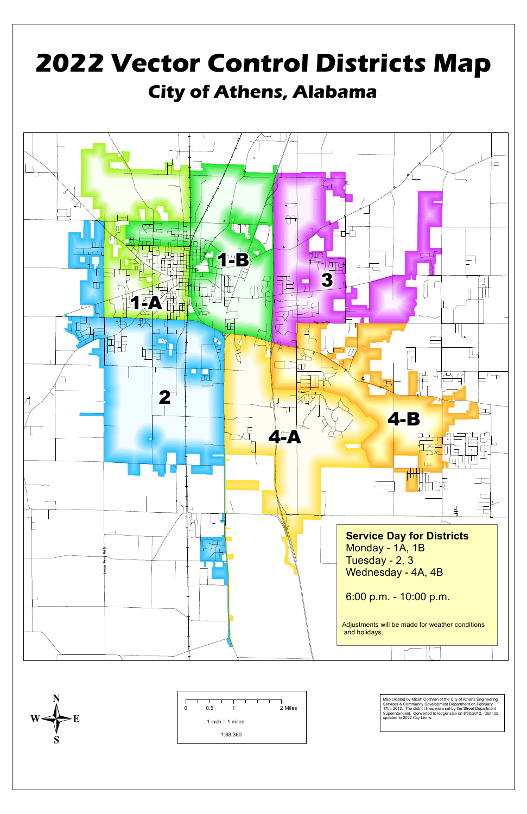

Services & Community Development Department on February 17th, 2012. The district lines were set by the Street Department Superintendent. Converted to ledger size on 8/30/2012. Districts updated to 2022 City Limits.